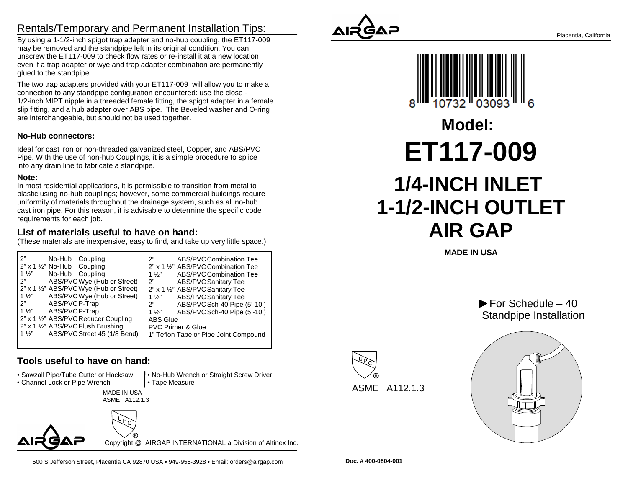# Rentals/Temporary and Permanent Installation Tips:

 By using a 1-1/2-inch spigot trap adapter and no-hub coupling, the ET117-009may be removed and the standpipe left in its original condition. You can unscrew the ET117-009 to check flow rates or re-install it at a new location even if a trap adapter or wye and trap adapter combination are permanentlyglued to the standpipe.

The two trap adapters provided with your ET117-009 will allow you to make aconnection to any standpipe configuration encountered: use the close - 1/2-inch MIPT nipple in a threaded female fitting, the spigot adapter in a female slip fitting, and a hub adapter over ABS pipe. The Beveled washer and O-ringare interchangeable, but should not be used together.

#### **No-Hub connectors:**

Ideal for cast iron or non-threaded galvanized steel, Copper, and ABS/PVC Pipe. With the use of non-hub Couplings, it is a simple procedure to spliceinto any drain line to fabricate a standpipe.

#### **Note:**

 In most residential applications, it is permissible to transition from metal to plastic using no-hub couplings; however, some commercial buildings requireuniformity of materials throughout the drainage system, such as all no-hub cast iron pipe. For this reason, it is advisable to determine the specific coderequirements for each job.

#### **List of materials useful to have on hand:**

(These materials are inexpensive, easy to find, and take up very little space.)

| 2"                                             | 2"                                    |
|------------------------------------------------|---------------------------------------|
| No-Hub Coupling                                | ABS/PVC Combination Tee               |
| 2" x 1 1/2" No-Hub Coupling                    | 2" x 1 1/2" ABS/PVC Combination Tee   |
| $1\frac{1}{2}$                                 | $1\frac{1}{2}$                        |
| No-Hub Coupling                                | ABS/PVC Combination Tee               |
| ን"                                             | 2"                                    |
| ABS/PVCWye (Hub or Street)                     | <b>ABS/PVC Sanitary Tee</b>           |
| 2" x 1 1/2" ABS/PVC Wye (Hub or Street)        | 2" x 1 1/2" ABS/PVC Sanitary Tee      |
| ABS/PVC Wye (Hub or Street)                    | <b>ABS/PVC Sanitary Tee</b>           |
| $1\frac{1}{2}$                                 | $1\frac{1}{2}$                        |
| ABS/PVC P-Trap                                 | ABS/PVC Sch-40 Pipe (5'-10')          |
| 2"                                             | 2"                                    |
| $1\frac{1}{2}$                                 | ABS/PVC Sch-40 Pipe (5'-10')          |
| ABS/PVC P-Trap                                 | $1\frac{1}{2}$                        |
| 2" x 1 1/2" ABS/PVC Reducer Coupling           | <b>ABS Glue</b>                       |
| 2" x 1 1/2" ABS/PVC Flush Brushing             | <b>PVC Primer &amp; Glue</b>          |
| ABS/PVC Street 45 (1/8 Bend)<br>$1\frac{1}{2}$ | 1" Teflon Tape or Pipe Joint Compound |
|                                                |                                       |

## **Tools useful to have on hand:**

• Sawzall Pipe/Tube Cutter or Hacksaw

• Channel Lock or Pipe Wrench

 MADE IN USA• Tape Measure

ASME A112.1.3



500 S Jefferson Street, Placentia CA 92870 USA • 949-955-3928 • Email: orders@airgap.com

Copyright @ AIRGAP INTERNATIONAL a Division of Altinex Inc.

• No-Hub Wrench or Straight Screw Driver





**MADE IN USA**





Placentia, California